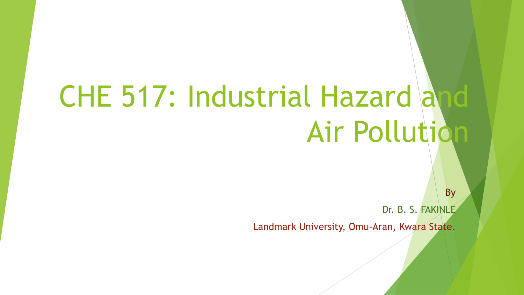# CHE 517: Industrial Hazard and Air Pollution

Dr. B. S. FAKINLE

By

Landmark University, Omu-Aran, Kwara State.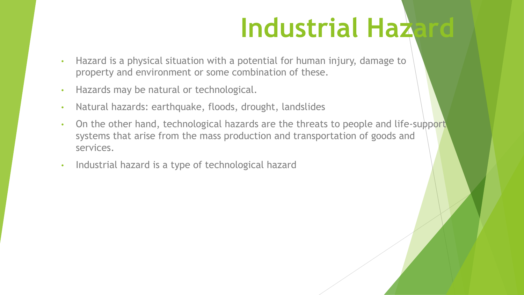# **Industrial Hazard**

- Hazard is a physical situation with a potential for human injury, damage to property and environment or some combination of these.
- Hazards may be natural or technological.
- Natural hazards: earthquake, floods, drought, landslides
- On the other hand, technological hazards are the threats to people and life-support systems that arise from the mass production and transportation of goods and services.
- Industrial hazard is a type of technological hazard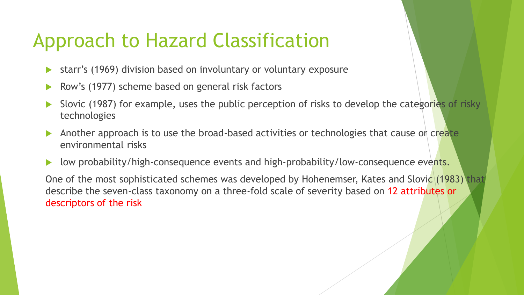### Approach to Hazard Classification

- starr's (1969) division based on involuntary or voluntary exposure
- Row's (1977) scheme based on general risk factors
- Slovic (1987) for example, uses the public perception of risks to develop the categories of risky technologies
- Another approach is to use the broad-based activities or technologies that cause or create environmental risks
- low probability/high-consequence events and high-probability/low-consequence events.

One of the most sophisticated schemes was developed by Hohenemser, Kates and Slovic (1983) that describe the seven-class taxonomy on a three-fold scale of severity based on 12 attributes or descriptors of the risk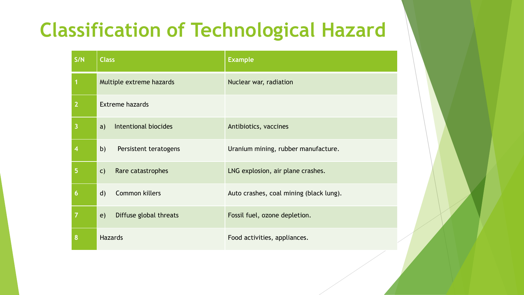## **Classification of Technological Hazard**

| S/N                      | <b>Class</b>                          | <b>Example</b>                          |
|--------------------------|---------------------------------------|-----------------------------------------|
|                          | Multiple extreme hazards              | Nuclear war, radiation                  |
| $\overline{2}$           | <b>Extreme hazards</b>                |                                         |
| 3                        | Intentional biocides<br>a)            | Antibiotics, vaccines                   |
| $\overline{\mathcal{A}}$ | b)<br>Persistent teratogens           | Uranium mining, rubber manufacture.     |
| 5                        | Rare catastrophes<br>$\mathsf{C}$     | LNG explosion, air plane crashes.       |
| $\boldsymbol{6}$         | <b>Common killers</b><br>$\mathsf{d}$ | Auto crashes, coal mining (black lung). |
| $\overline{7}$           | Diffuse global threats<br>e)          | Fossil fuel, ozone depletion.           |
| 8                        | <b>Hazards</b>                        | Food activities, appliances.            |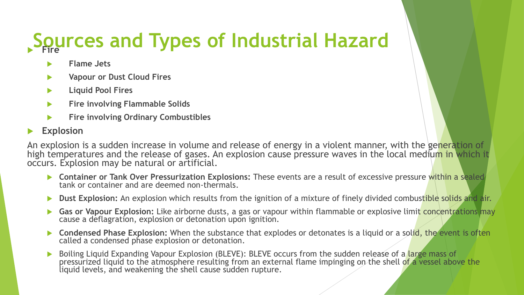# **Sources and Types of Industrial Hazard Fire**

- **Flame Jets**
- **Vapour or Dust Cloud Fires**
- **Liquid Pool Fires**
- **Fire involving Flammable Solids**
- **Fire involving Ordinary Combustibles**

#### **Explosion**

An explosion is a sudden increase in volume and release of energy in a violent manner, with the generation of high temperatures and the release of gases. An explosion cause pressure waves in the local medium in which it occurs. Explosion may be natural or artificial.

- **Container or Tank Over Pressurization Explosions:** These events are a result of excessive pressure within a sealed tank or container and are deemed non-thermals.
- **Dust Explosion:** An explosion which results from the ignition of a mixture of finely divided combustible solids and air.
- **Gas or Vapour Explosion:** Like airborne dusts, a gas or vapour within flammable or explosive limit concentrations may cause a deflagration, explosion or detonation upon ignition.
- **Condensed Phase Explosion:** When the substance that explodes or detonates is a liquid or a solid, the event is often called a condensed phase explosion or detonation.
- Boiling Liquid Expanding Vapour Explosion (BLEVE): BLEVE occurs from the sudden release of a large mass of pressurized liquid to the atmosphere resulting from an external flame impinging on the shell of a vessel above the liquid levels, and weakening the shell cause sudden rupture.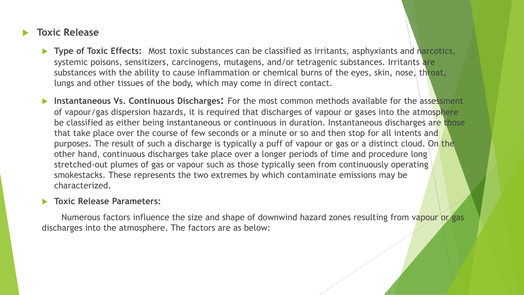#### **Toxic Release**

- **Type of Toxic Effects:** Most toxic substances can be classified as irritants, asphyxiants and narcotics, systemic poisons, sensitizers, carcinogens, mutagens, and/or tetragenic substances. Irritants are substances with the ability to cause inflammation or chemical burns of the eyes, skin, nose, throat, lungs and other tissues of the body, which may come in direct contact.
- **Instantaneous Vs. Continuous Discharges:** For the most common methods available for the assessment of vapour/gas dispersion hazards, it is required that discharges of vapour or gases into the atmosphere be classified as either being instantaneous or continuous in duration. Instantaneous discharges are those that take place over the course of few seconds or a minute or so and then stop for all intents and purposes. The result of such a discharge is typically a puff of vapour or gas or a distinct cloud. On the other hand, continuous discharges take place over a longer periods of time and procedure long stretched-out plumes of gas or vapour such as those typically seen from continuously operating smokestacks. These represents the two extremes by which contaminate emissions may be characterized.

#### **Toxic Release Parameters:**

Numerous factors influence the size and shape of downwind hazard zones resulting from vapour or gas discharges into the atmosphere. The factors are as below: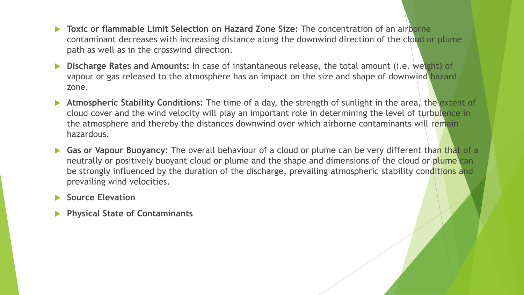- **Toxic or flammable Limit Selection on Hazard Zone Size:** The concentration of an airborne contaminant decreases with increasing distance along the downwind direction of the cloud or plume path as well as in the crosswind direction.
- **Discharge Rates and Amounts:** In case of instantaneous release, the total amount (i.e. weight) of vapour or gas released to the atmosphere has an impact on the size and shape of downwind hazard zone.
- **Atmospheric Stability Conditions:** The time of a day, the strength of sunlight in the area, the extent of cloud cover and the wind velocity will play an important role in determining the level of turbulence in the atmosphere and thereby the distances downwind over which airborne contaminants will remain hazardous.
- **Gas or Vapour Buoyancy:** The overall behaviour of a cloud or plume can be very different than that of a neutrally or positively buoyant cloud or plume and the shape and dimensions of the cloud or plume can be strongly influenced by the duration of the discharge, prevailing atmospheric stability conditions and prevailing wind velocities.
- **Source Elevation**
- **Physical State of Contaminants**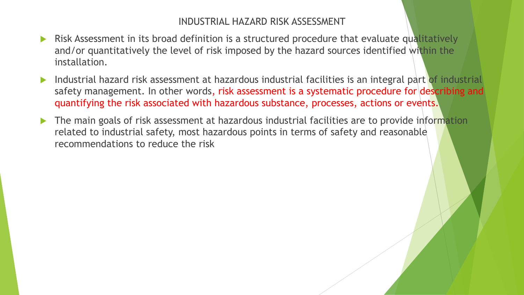#### INDUSTRIAL HAZARD RISK ASSESSMENT

- Risk Assessment in its broad definition is a structured procedure that evaluate qualitatively and/or quantitatively the level of risk imposed by the hazard sources identified within the installation.
- Industrial hazard risk assessment at hazardous industrial facilities is an integral part of industrial safety management. In other words, risk assessment is a systematic procedure for describing and quantifying the risk associated with hazardous substance, processes, actions or events.
- $\blacktriangleright$  The main goals of risk assessment at hazardous industrial facilities are to provide information related to industrial safety, most hazardous points in terms of safety and reasonable recommendations to reduce the risk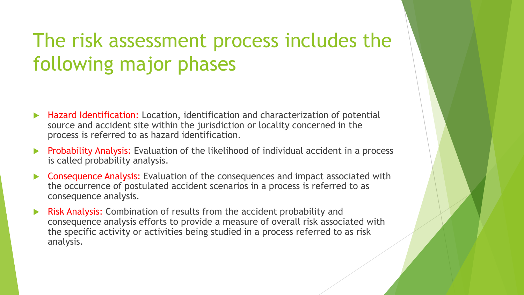## The risk assessment process includes the following major phases

- Hazard Identification: Location, identification and characterization of potential source and accident site within the jurisdiction or locality concerned in the process is referred to as hazard identification.
- Probability Analysis: Evaluation of the likelihood of individual accident in a process is called probability analysis.
- Consequence Analysis: Evaluation of the consequences and impact associated with the occurrence of postulated accident scenarios in a process is referred to as consequence analysis.
- Risk Analysis: Combination of results from the accident probability and consequence analysis efforts to provide a measure of overall risk associated with the specific activity or activities being studied in a process referred to as risk analysis.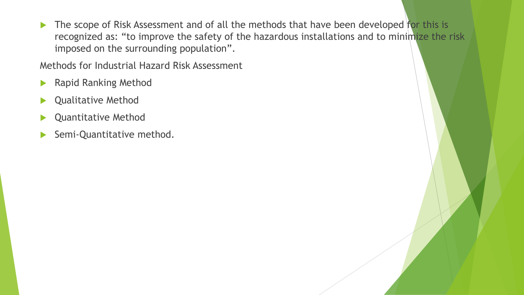The scope of Risk Assessment and of all the methods that have been developed for this is recognized as: "to improve the safety of the hazardous installations and to minimize the risk imposed on the surrounding population".

Methods for Industrial Hazard Risk Assessment

- **Rapid Ranking Method**
- Qualitative Method
- Quantitative Method
- Semi-Quantitative method.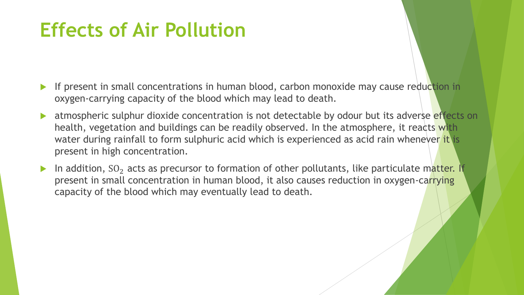### **Effects of Air Pollution**

- If present in small concentrations in human blood, carbon monoxide may cause reduction in oxygen-carrying capacity of the blood which may lead to death.
- atmospheric sulphur dioxide concentration is not detectable by odour but its adverse effects on health, vegetation and buildings can be readily observed. In the atmosphere, it reacts with water during rainfall to form sulphuric acid which is experienced as acid rain whenever it is present in high concentration.
- In addition,  $SO_2$  acts as precursor to formation of other pollutants, like particulate matter. If present in small concentration in human blood, it also causes reduction in oxygen-carrying capacity of the blood which may eventually lead to death.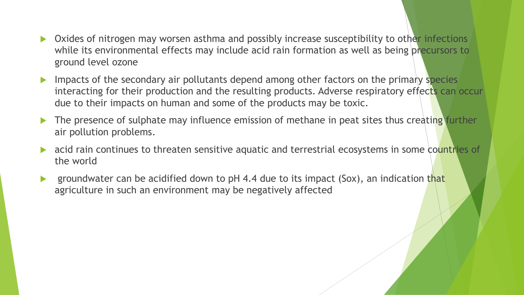- Oxides of nitrogen may worsen asthma and possibly increase susceptibility to other infections while its environmental effects may include acid rain formation as well as being precursors to ground level ozone
- Impacts of the secondary air pollutants depend among other factors on the primary species interacting for their production and the resulting products. Adverse respiratory effects can occur due to their impacts on human and some of the products may be toxic.
- The presence of sulphate may influence emission of methane in peat sites thus creating further air pollution problems.
- acid rain continues to threaten sensitive aquatic and terrestrial ecosystems in some countries of the world
- groundwater can be acidified down to pH 4.4 due to its impact (Sox), an indication that agriculture in such an environment may be negatively affected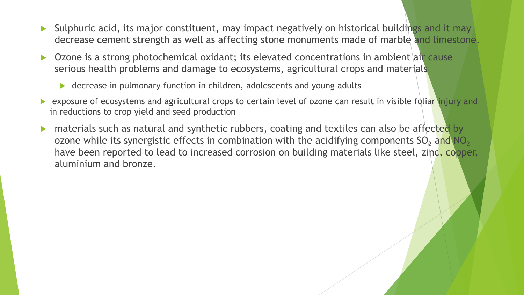- Sulphuric acid, its major constituent, may impact negatively on historical buildings and it may decrease cement strength as well as affecting stone monuments made of marble and limestone.
- Ozone is a strong photochemical oxidant; its elevated concentrations in ambient air cause serious health problems and damage to ecosystems, agricultural crops and materials
	- ▶ decrease in pulmonary function in children, adolescents and young adults
- **EXPOSURE OF ECOSYSTEMS and agricultural crops to certain level of ozone can result in visible foliar injury and** in reductions to crop yield and seed production
- **IDED** materials such as natural and synthetic rubbers, coating and textiles can also be affected by ozone while its synergistic effects in combination with the acidifying components  $SO_2$  and  $NO_2$ have been reported to lead to increased corrosion on building materials like steel, zinc, copper, aluminium and bronze.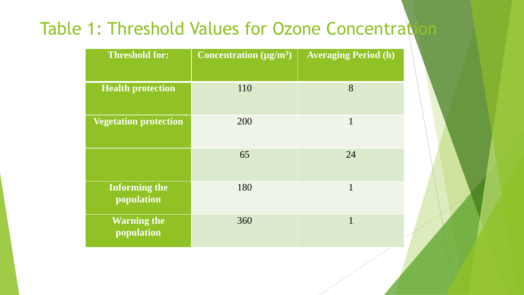### Table 1: Threshold Values for Ozone Concentration

| <b>Threshold for:</b>              | Concentration $(\mu g/m^3)$ | <b>Averaging Period (h)</b> |
|------------------------------------|-----------------------------|-----------------------------|
| <b>Health protection</b>           | 110                         | 8                           |
| <b>Vegetation protection</b>       | 200                         | 1                           |
|                                    | 65                          | 24                          |
| <b>Informing the</b><br>population | 180                         | 1                           |
| <b>Warning the</b><br>population   | 360                         | 1                           |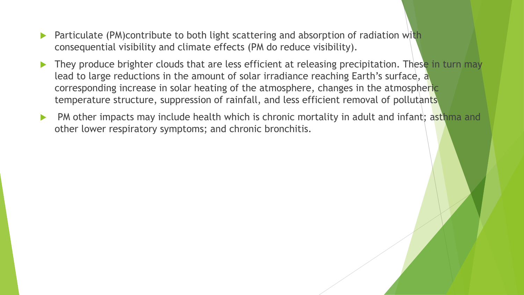- Particulate (PM)contribute to both light scattering and absorption of radiation with consequential visibility and climate effects (PM do reduce visibility).
- They produce brighter clouds that are less efficient at releasing precipitation. These in turn may lead to large reductions in the amount of solar irradiance reaching Earth's surface, a corresponding increase in solar heating of the atmosphere, changes in the atmospheric temperature structure, suppression of rainfall, and less efficient removal of pollutants
- PM other impacts may include health which is chronic mortality in adult and infant; asthma and other lower respiratory symptoms; and chronic bronchitis.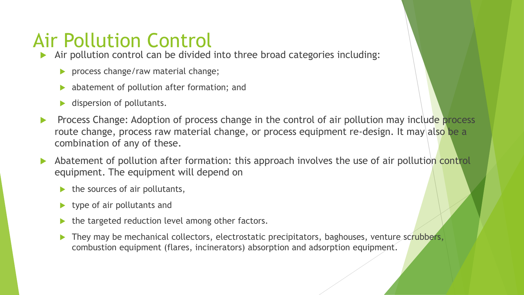## Air Pollution Control

- Air pollution control can be divided into three broad categories including:
	- **Perocess change/raw material change;**
	- abatement of pollution after formation; and
	- dispersion of pollutants.
- **Process Change: Adoption of process change in the control of air pollution may include process** route change, process raw material change, or process equipment re-design. It may also be a combination of any of these.
- Abatement of pollution after formation: this approach involves the use of air pollution control equipment. The equipment will depend on
	- $\blacktriangleright$  the sources of air pollutants,
	- $\blacktriangleright$  type of air pollutants and
	- the targeted reduction level among other factors.
	- They may be mechanical collectors, electrostatic precipitators, baghouses, venture scrubbers, combustion equipment (flares, incinerators) absorption and adsorption equipment.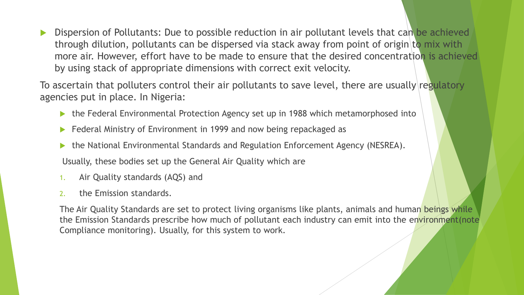Dispersion of Pollutants: Due to possible reduction in air pollutant levels that can be achieved through dilution, pollutants can be dispersed via stack away from point of origin to mix with more air. However, effort have to be made to ensure that the desired concentration is achieved by using stack of appropriate dimensions with correct exit velocity.

To ascertain that polluters control their air pollutants to save level, there are usually regulatory agencies put in place. In Nigeria:

- the Federal Environmental Protection Agency set up in 1988 which metamorphosed into
- Federal Ministry of Environment in 1999 and now being repackaged as
- the National Environmental Standards and Regulation Enforcement Agency (NESREA).

Usually, these bodies set up the General Air Quality which are

- 1. Air Quality standards (AQS) and
- 2. the Emission standards.

The Air Quality Standards are set to protect living organisms like plants, animals and human beings while the Emission Standards prescribe how much of pollutant each industry can emit into the environment(note Compliance monitoring). Usually, for this system to work.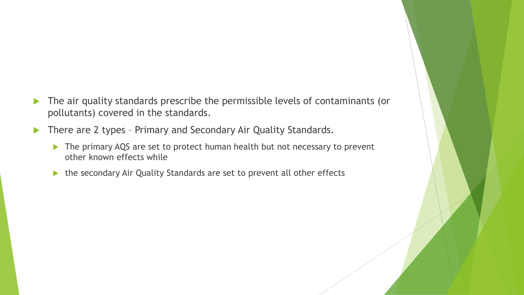- The air quality standards prescribe the permissible levels of contaminants (or pollutants) covered in the standards.
- There are 2 types Primary and Secondary Air Quality Standards.
	- ▶ The primary AQS are set to protect human health but not necessary to prevent other known effects while
	- ▶ the secondary Air Quality Standards are set to prevent all other effects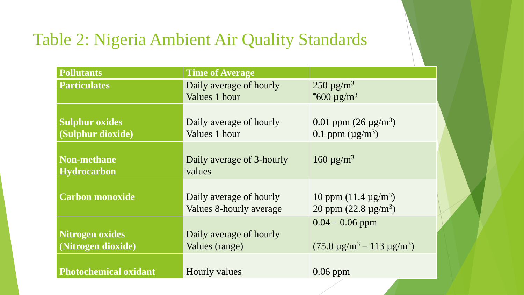### Table 2: Nigeria Ambient Air Quality Standards

| <b>Pollutants</b>                            | Time of Average                                    |                                                                   |  |
|----------------------------------------------|----------------------------------------------------|-------------------------------------------------------------------|--|
| <b>Particulates</b>                          | Daily average of hourly<br>Values 1 hour           | $250 \mu g/m^3$<br>$*600 \mu g/m^3$                               |  |
| <b>Sulphur oxides</b><br>(Sulphur dioxide)   | Daily average of hourly<br>Values 1 hour           | 0.01 ppm $(26 \mu g/m^3)$<br>0.1 ppm $(\mu g/m^3)$                |  |
| <b>Non-methane</b><br><b>Hydrocarbon</b>     | Daily average of 3-hourly<br>values                | 160 $\mu$ g/m <sup>3</sup>                                        |  |
| <b>Carbon monoxide</b>                       | Daily average of hourly<br>Values 8-hourly average | 10 ppm $(11.4 \text{ µg/m}^3)$<br>20 ppm $(22.8 \text{ µg/m}^3)$  |  |
| <b>Nitrogen oxides</b><br>(Nitrogen dioxide) | Daily average of hourly<br>Values (range)          | $0.04 - 0.06$ ppm<br>$(75.0 \text{ µg/m}^3 - 113 \text{ µg/m}^3)$ |  |
| <b>Photochemical oxidant</b>                 | Hourly values                                      | $0.06$ ppm                                                        |  |